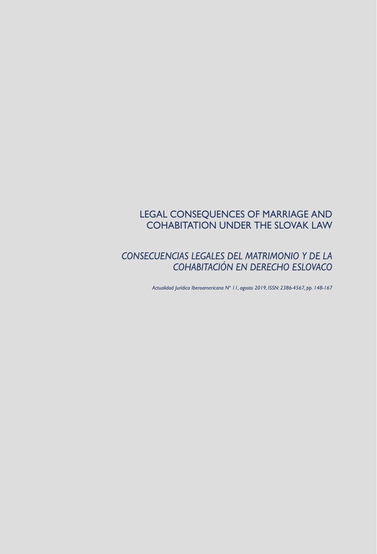# LEGAL CONSEQUENCES OF MARRIAGE AND COHABITATION UNDER THE SLOVAK LAW

## *CONSECUENCIAS LEGALES DEL MATRIMONIO Y DE LA COHABITACIÓN EN DERECHO ESLOVACO*

*Actualidad Jurídica Iberoamericana Nº 11, agosto 2019, ISSN: 2386-4567, pp. 148-167*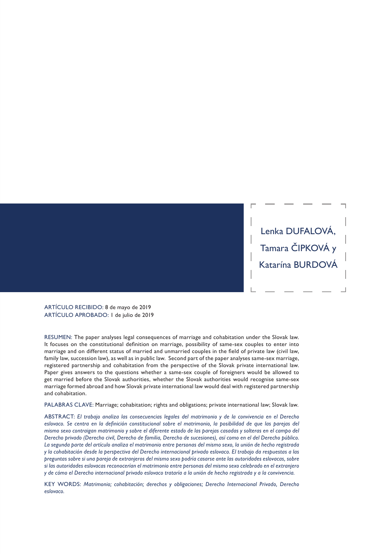Lenka DUFALOVÁ, Tamara ČIPKOVÁ y Katarína BURDOVÁ

ARTÍCULO RECIBIDO: 8 de mayo de 2019 ARTÍCULO APROBADO: 1 de julio de 2019

RESUMEN: The paper analyses legal consequences of marriage and cohabitation under the Slovak law. It focuses on the constitutional definition on marriage, possibility of same-sex couples to enter into marriage and on different status of married and unmarried couples in the field of private law (civil law, family law, succession law), as well as in public law. Second part of the paper analyses same-sex marriage, registered partnership and cohabitation from the perspective of the Slovak private international law. Paper gives answers to the questions whether a same-sex couple of foreigners would be allowed to get married before the Slovak authorities, whether the Slovak authorities would recognise same-sex marriage formed abroad and how Slovak private international law would deal with registered partnership and cohabitation.

PALABRAS CLAVE: Marriage; cohabitation; rights and obligations; private international law; Slovak law.

ABSTRACT: *El trabajo analiza las consecuencias legales del matrimonio y de la convivencia en el Derecho*  eslovaco. Se centra en la definición constitucional sobre el matrimonio, la posibilidad de que las parejas del *mismo sexo contraigan matrimonio y sobre el diferente estado de las parejas casadas y solteras en el campo del Derecho privado (Derecho civil, Derecho de familia, Derecho de sucesiones), así como en el del Derecho público. La segunda parte del artículo analiza el matrimonio entre personas del mismo sexo, la unión de hecho registrada y la cohabitación desde la perspectiva del Derecho internacional privado eslovaco. El trabajo da respuestas a las preguntas sobre si una pareja de extranjeros del mismo sexo podría casarse ante las autoridades eslovacas, sobre si las autoridades eslovacas reconocerían el matrimonio entre personas del mismo sexo celebrado en el extranjero y de cómo el Derecho internacional privado eslovaco trataría a la unión de hecho registrada y a la convivencia.*

KEY WORDS: *Matrimonio; cohabitación; derechos y obligaciones; Derecho Internacional Privado, Derecho eslovaco.*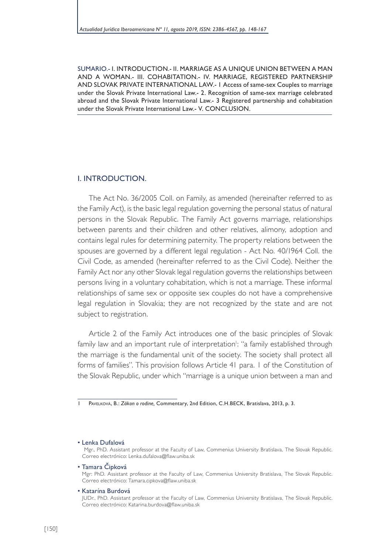SUMARIO.- I. INTRODUCTION.- II. MARRIAGE AS A UNIQUE UNION BETWEEN A MAN AND A WOMAN.- III. COHABITATION.- IV. MARRIAGE, REGISTERED PARTNERSHIP AND SLOVAK PRIVATE INTERNATIONAL LAW.- 1 Access of same-sex Couples to marriage under the Slovak Private International Law.- 2. Recognition of same-sex marriage celebrated abroad and the Slovak Private International Law.- 3 Registered partnership and cohabitation under the Slovak Private International Law.- V. CONCLUSION.

#### I. INTRODUCTION.

The Act No. 36/2005 Coll. on Family, as amended (hereinafter referred to as the Family Act), is the basic legal regulation governing the personal status of natural persons in the Slovak Republic. The Family Act governs marriage, relationships between parents and their children and other relatives, alimony, adoption and contains legal rules for determining paternity. The property relations between the spouses are governed by a different legal regulation - Act No. 40/1964 Coll. the Civil Code, as amended (hereinafter referred to as the Civil Code). Neither the Family Act nor any other Slovak legal regulation governs the relationships between persons living in a voluntary cohabitation, which is not a marriage. These informal relationships of same sex or opposite sex couples do not have a comprehensive legal regulation in Slovakia; they are not recognized by the state and are not subject to registration.

Article 2 of the Family Act introduces one of the basic principles of Slovak family law and an important rule of interpretation<sup>1</sup>: "a family established through the marriage is the fundamental unit of the society. The society shall protect all forms of families". This provision follows Article 41 para. 1 of the Constitution of the Slovak Republic, under which "marriage is a unique union between a man and

• Lenka Dufalová

- Tamara Cipková Mgr: PhD. Assistant professor at the Faculty of Law, Commenius University Bratislava, The Slovak Republic. Correo electrónico: Tamara.cipkova@flaw.uniba.sk
- Katarína Burdová

<sup>1</sup> Pavelková, B.: *Zákon o rodine,* Commentary, 2nd Edition, C.H.BECK, Bratislava, 2013, p. 3.

Mgr., PhD. Assistant professor at the Faculty of Law, Commenius University Bratislava, The Slovak Republic. Correo electrónico: Lenka.dufalova@flaw.uniba.sk

JUDr., PhD. Assistant professor at the Faculty of Law, Commenius University Bratislava, The Slovak Republic. Correo electrónico: Katarina.burdova@flaw.uniba.sk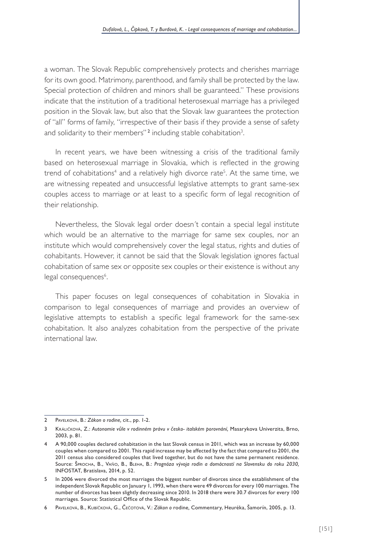a woman. The Slovak Republic comprehensively protects and cherishes marriage for its own good. Matrimony, parenthood, and family shall be protected by the law. Special protection of children and minors shall be guaranteed." These provisions indicate that the institution of a traditional heterosexual marriage has a privileged position in the Slovak law, but also that the Slovak law guarantees the protection of "all" forms of family, "irrespective of their basis if they provide a sense of safety and solidarity to their members'' $^{\rm 2}$  including stable cohabitation $^{\rm 3}$ .

In recent years, we have been witnessing a crisis of the traditional family based on heterosexual marriage in Slovakia, which is reflected in the growing trend of cohabitations<sup>4</sup> and a relatively high divorce rate<sup>5</sup>. At the same time, we are witnessing repeated and unsuccessful legislative attempts to grant same-sex couples access to marriage or at least to a specific form of legal recognition of their relationship.

Nevertheless, the Slovak legal order doesn´t contain a special legal institute which would be an alternative to the marriage for same sex couples, nor an institute which would comprehensively cover the legal status, rights and duties of cohabitants. However, it cannot be said that the Slovak legislation ignores factual cohabitation of same sex or opposite sex couples or their existence is without any legal consequences<sup>6</sup>.

This paper focuses on legal consequences of cohabitation in Slovakia in comparison to legal consequences of marriage and provides an overview of legislative attempts to establish a specific legal framework for the same-sex cohabitation. It also analyzes cohabitation from the perspective of the private international law.

<sup>2</sup> Pavelková, B.: *Zákon o rodine,* cit., pp. 1-2.

<sup>3</sup> Králičková, Z.: *Autonomie vůle v rodinném právu v česko- italském porovnání,* Masarykova Univerzita, Brno, 2003, p. 81.

<sup>4</sup> A 90,000 couples declared cohabitation in the last Slovak census in 2011, which was an increase by 60,000 couples when compared to 2001. This rapid increase may be affected by the fact that compared to 2001, the 2011 census also considered couples that lived together, but do not have the same permanent residence. Source: Šprocha, B., Vaňo, B., Bleha, B.: *Prognóza vývoja rodín a domácností na Slovensku do roku 2030,* INFOSTAT, Bratislava, 2014, p. 52.

<sup>5</sup> In 2006 were divorced the most marriages the biggest number of divorces since the establishment of the independent Slovak Republic on January 1, 1993, when there were 49 divorces for every 100 marriages. The number of divorces has been slightly decreasing since 2010. In 2018 there were 30.7 divorces for every 100 marriages. Source: Statistical Office of the Slovak Republic.

<sup>6</sup> Pavelková, B., Kubíčková, G., Čečotová, V.: *Zákon o* rodine*,* Commentary, Heuréka, Šamorín, 2005, p. 13.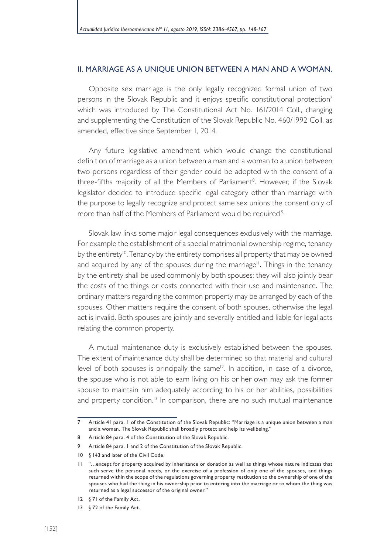#### II. MARRIAGE AS A UNIQUE UNION BETWEEN A MAN AND A WOMAN.

Opposite sex marriage is the only legally recognized formal union of two persons in the Slovak Republic and it enjoys specific constitutional protection<sup>7</sup> which was introduced by The Constitutional Act No. 161/2014 Coll., changing and supplementing the Constitution of the Slovak Republic No. 460/1992 Coll. as amended, effective since September 1, 2014.

Any future legislative amendment which would change the constitutional definition of marriage as a union between a man and a woman to a union between two persons regardless of their gender could be adopted with the consent of a three-fifths majority of all the Members of Parliament<sup>8</sup>. However, if the Slovak legislator decided to introduce specific legal category other than marriage with the purpose to legally recognize and protect same sex unions the consent only of more than half of the Members of Parliament would be required<sup>9.</sup>

Slovak law links some major legal consequences exclusively with the marriage. For example the establishment of a special matrimonial ownership regime, tenancy by the entirety<sup>10</sup>. Tenancy by the entirety comprises all property that may be owned and acquired by any of the spouses during the marriage<sup>11</sup>. Things in the tenancy by the entirety shall be used commonly by both spouses; they will also jointly bear the costs of the things or costs connected with their use and maintenance. The ordinary matters regarding the common property may be arranged by each of the spouses. Other matters require the consent of both spouses, otherwise the legal act is invalid. Both spouses are jointly and severally entitled and liable for legal acts relating the common property.

A mutual maintenance duty is exclusively established between the spouses. The extent of maintenance duty shall be determined so that material and cultural level of both spouses is principally the same $12$ . In addition, in case of a divorce, the spouse who is not able to earn living on his or her own may ask the former spouse to maintain him adequately according to his or her abilities, possibilities and property condition.<sup>13</sup> In comparison, there are no such mutual maintenance

12 § 71 of the Family Act.

<sup>7</sup> Article 41 para. 1 of the Constitution of the Slovak Republic: "Marriage is a unique union between a man and a woman. The Slovak Republic shall broadly protect and help its wellbeing."

<sup>8</sup> Article 84 para. 4 of the Constitution of the Slovak Republic.

<sup>9</sup> Article 84 para. 1 and 2 of the Constitution of the Slovak Republic.

<sup>10 § 143</sup> and later of the Civil Code.

<sup>11</sup> "…except for property acquired by inheritance or donation as well as things whose nature indicates that such serve the personal needs, or the exercise of a profession of only one of the spouses, and things returned within the scope of the regulations governing property restitution to the ownership of one of the spouses who had the thing in his ownership prior to entering into the marriage or to whom the thing was returned as a legal successor of the original owner."

<sup>13 § 72</sup> of the Family Act.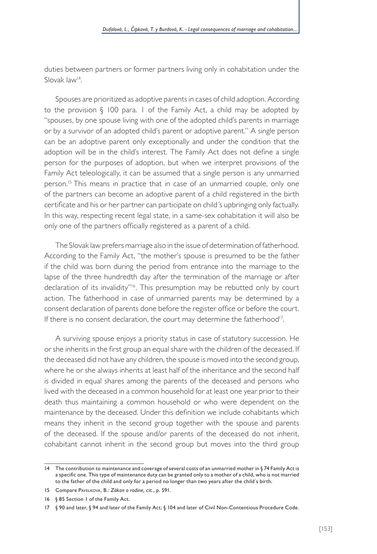duties between partners or former partners living only in cohabitation under the Slovak law<sup>14</sup>.

Spouses are prioritized as adoptive parents in cases of child adoption. According to the provision § 100 para. 1 of the Family Act, a child may be adopted by "spouses, by one spouse living with one of the adopted child's parents in marriage or by a survivor of an adopted child's parent or adoptive parent." A single person can be an adoptive parent only exceptionally and under the condition that the adoption will be in the child's interest. The Family Act does not define a single person for the purposes of adoption, but when we interpret provisions of the Family Act teleologically, it can be assumed that a single person is any unmarried person.<sup>15</sup> This means in practice that in case of an unmarried couple, only one of the partners can become an adoptive parent of a child registered in the birth certificate and his or her partner can participate on child´s upbringing only factually. In this way, respecting recent legal state, in a same-sex cohabitation it will also be only one of the partners officially registered as a parent of a child.

The Slovak law prefers marriage also in the issue of determination of fatherhood. According to the Family Act, "the mother's spouse is presumed to be the father if the child was born during the period from entrance into the marriage to the lapse of the three hundredth day after the termination of the marriage or after declaration of its invalidity"<sup>6</sup>. This presumption may be rebutted only by court action. The fatherhood in case of unmarried parents may be determined by a consent declaration of parents done before the register office or before the court. If there is no consent declaration, the court may determine the fatherhood<sup>17</sup>.

A surviving spouse enjoys a priority status in case of statutory succession. He or she inherits in the first group an equal share with the children of the deceased. If the deceased did not have any children, the spouse is moved into the second group, where he or she always inherits at least half of the inheritance and the second half is divided in equal shares among the parents of the deceased and persons who lived with the deceased in a common household for at least one year prior to their death thus maintaining a common household or who were dependent on the maintenance by the deceased. Under this definition we include cohabitants which means they inherit in the second group together with the spouse and parents of the deceased. If the spouse and/or parents of the deceased do not inherit, cohabitant cannot inherit in the second group but moves into the third group

<sup>14</sup> The contribution to maintenance and coverage of several costs of an unmarried mother in § 74 Family Act is a specific one. This type of maintenance duty can be granted only to a mother of a child, who is not married to the father of the child and only for a period no longer than two years after the child´s birth.

<sup>15</sup> Compare Pavelková, B.: *Zákon o rodine,* cit., p. 591.

<sup>16</sup> § 85 Section 1 of the Family Act.

<sup>17</sup> § 90 and later, § 94 and later of the Family Act; § 104 and later of Civil Non-Contentious Procedure Code.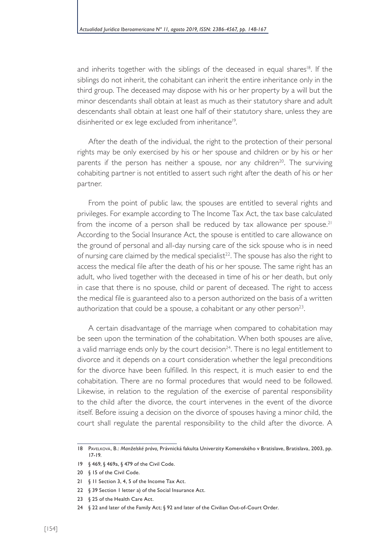and inherits together with the siblings of the deceased in equal shares<sup>18</sup>. If the siblings do not inherit, the cohabitant can inherit the entire inheritance only in the third group. The deceased may dispose with his or her property by a will but the minor descendants shall obtain at least as much as their statutory share and adult descendants shall obtain at least one half of their statutory share, unless they are disinherited or ex lege excluded from inheritance<sup>19</sup>.

After the death of the individual, the right to the protection of their personal rights may be only exercised by his or her spouse and children or by his or her parents if the person has neither a spouse, nor any children<sup>20</sup>. The surviving cohabiting partner is not entitled to assert such right after the death of his or her partner.

From the point of public law, the spouses are entitled to several rights and privileges. For example according to The Income Tax Act, the tax base calculated from the income of a person shall be reduced by tax allowance per spouse.<sup>21</sup> According to the Social Insurance Act, the spouse is entitled to care allowance on the ground of personal and all-day nursing care of the sick spouse who is in need of nursing care claimed by the medical specialist<sup>22</sup>. The spouse has also the right to access the medical file after the death of his or her spouse. The same right has an adult, who lived together with the deceased in time of his or her death, but only in case that there is no spouse, child or parent of deceased. The right to access the medical file is guaranteed also to a person authorized on the basis of a written authorization that could be a spouse, a cohabitant or any other person<sup>23</sup>.

A certain disadvantage of the marriage when compared to cohabitation may be seen upon the termination of the cohabitation. When both spouses are alive, a valid marriage ends only by the court decision $^{24}$ . There is no legal entitlement to divorce and it depends on a court consideration whether the legal preconditions for the divorce have been fulfilled. In this respect, it is much easier to end the cohabitation. There are no formal procedures that would need to be followed. Likewise, in relation to the regulation of the exercise of parental responsibility to the child after the divorce, the court intervenes in the event of the divorce itself. Before issuing a decision on the divorce of spouses having a minor child, the court shall regulate the parental responsibility to the child after the divorce. A

<sup>18</sup> Pavelková, B.: *Manželské právo,* Právnická fakulta Univerzity Komenského v Bratislave, Bratislava, 2003, pp. 17-19.

<sup>19</sup> § 469, § 469a, § 479 of the Civil Code.

<sup>20</sup> § 15 of the Civil Code.

<sup>21 § 11</sup> Section 3, 4, 5 of the Income Tax Act.

<sup>22</sup> § 39 Section 1 letter a) of the Social Insurance Act.

<sup>23</sup> § 25 of the Health Care Act.

<sup>24</sup> § 22 and later of the Family Act; § 92 and later of the Civilian Out-of-Court Order.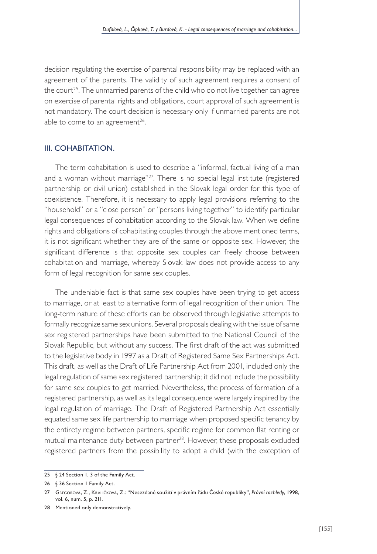decision regulating the exercise of parental responsibility may be replaced with an agreement of the parents. The validity of such agreement requires a consent of the court<sup>25</sup>. The unmarried parents of the child who do not live together can agree on exercise of parental rights and obligations, court approval of such agreement is not mandatory. The court decision is necessary only if unmarried parents are not able to come to an agreement<sup>26</sup>.

#### III. COHABITATION.

The term cohabitation is used to describe a "informal, factual living of a man and a woman without marriage"<sup>27</sup>. There is no special legal institute (registered partnership or civil union) established in the Slovak legal order for this type of coexistence. Therefore, it is necessary to apply legal provisions referring to the "household" or a "close person" or "persons living together" to identify particular legal consequences of cohabitation according to the Slovak law. When we define rights and obligations of cohabitating couples through the above mentioned terms, it is not significant whether they are of the same or opposite sex. However, the significant difference is that opposite sex couples can freely choose between cohabitation and marriage, whereby Slovak law does not provide access to any form of legal recognition for same sex couples.

The undeniable fact is that same sex couples have been trying to get access to marriage, or at least to alternative form of legal recognition of their union. The long-term nature of these efforts can be observed through legislative attempts to formally recognize same sex unions. Several proposals dealing with the issue of same sex registered partnerships have been submitted to the National Council of the Slovak Republic, but without any success. The first draft of the act was submitted to the legislative body in 1997 as a Draft of Registered Same Sex Partnerships Act. This draft, as well as the Draft of Life Partnership Act from 2001, included only the legal regulation of same sex registered partnership; it did not include the possibility for same sex couples to get married. Nevertheless, the process of formation of a registered partnership, as well as its legal consequence were largely inspired by the legal regulation of marriage. The Draft of Registered Partnership Act essentially equated same sex life partnership to marriage when proposed specific tenancy by the entirety regime between partners, specific regime for common flat renting or mutual maintenance duty between partner<sup>28</sup>. However, these proposals excluded registered partners from the possibility to adopt a child (with the exception of

<sup>25</sup> § 24 Section 1, 3 of the Family Act.

<sup>26</sup> § 36 Section 1 Family Act.

<sup>27</sup> Gregorová, Z., Králičková, Z.: "Nesezdané soužití v právním řádu České republiky", *Právní rozhledy*, 1998, vol. 6, num. 5, p. 211.

<sup>28</sup> Mentioned only demonstratively.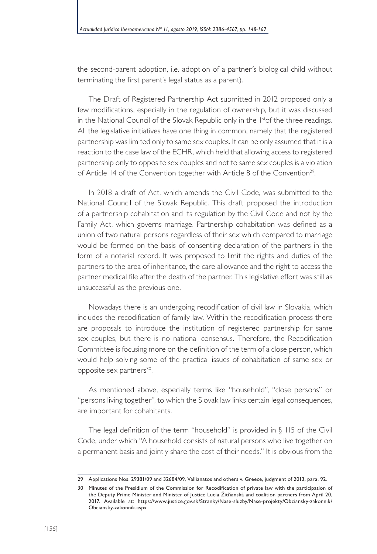the second-parent adoption, i.e. adoption of a partner´s biological child without terminating the first parent's legal status as a parent).

The Draft of Registered Partnership Act submitted in 2012 proposed only a few modifications, especially in the regulation of ownership, but it was discussed in the National Council of the Slovak Republic only in the  $1<sup>st</sup>$ of the three readings. All the legislative initiatives have one thing in common, namely that the registered partnership was limited only to same sex couples. It can be only assumed that it is a reaction to the case law of the ECHR, which held that allowing access to registered partnership only to opposite sex couples and not to same sex couples is a violation of Article 14 of the Convention together with Article 8 of the Convention<sup>29</sup>.

In 2018 a draft of Act, which amends the Civil Code, was submitted to the National Council of the Slovak Republic. This draft proposed the introduction of a partnership cohabitation and its regulation by the Civil Code and not by the Family Act, which governs marriage. Partnership cohabitation was defined as a union of two natural persons regardless of their sex which compared to marriage would be formed on the basis of consenting declaration of the partners in the form of a notarial record. It was proposed to limit the rights and duties of the partners to the area of inheritance, the care allowance and the right to access the partner medical file after the death of the partner. This legislative effort was still as unsuccessful as the previous one.

Nowadays there is an undergoing recodification of civil law in Slovakia, which includes the recodification of family law. Within the recodification process there are proposals to introduce the institution of registered partnership for same sex couples, but there is no national consensus. Therefore, the Recodification Committee is focusing more on the definition of the term of a close person, which would help solving some of the practical issues of cohabitation of same sex or opposite sex partners<sup>30</sup>.

As mentioned above, especially terms like "household", "close persons" or "persons living together", to which the Slovak law links certain legal consequences, are important for cohabitants.

The legal definition of the term "household" is provided in § 115 of the Civil Code, under which "A household consists of natural persons who live together on a permanent basis and jointly share the cost of their needs." It is obvious from the

<sup>29</sup> Applications Nos. 29381/09 and 32684/09, Vallianatos and others v. Greece, judgment of 2013, para. 92.

<sup>30</sup> Minutes of the Presidium of the Commission for Recodification of private law with the participation of the Deputy Prime Minister and Minister of Justice Lucia Žitňanská and coalition partners from April 20, 2017. Available at: https://www.justice.gov.sk/Stranky/Nase-sluzby/Nase-projekty/Obciansky-zakonnik/ Obciansky-zakonnik.aspx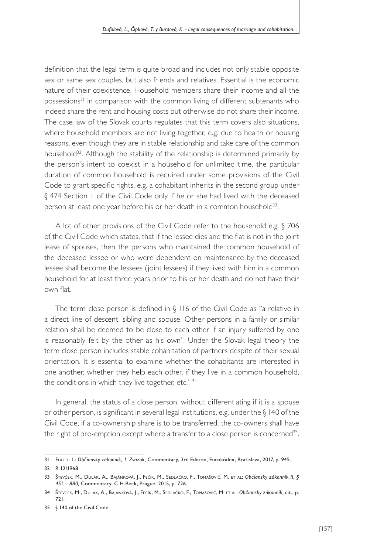definition that the legal term is quite broad and includes not only stable opposite sex or same sex couples, but also friends and relatives. Essential is the economic nature of their coexistence. Household members share their income and all the possessions<sup>31</sup> in comparison with the common living of different subtenants who indeed share the rent and housing costs but otherwise do not share their income. The case law of the Slovak courts regulates that this term covers also situations, where household members are not living together, e.g. due to health or housing reasons, even though they are in stable relationship and take care of the common household<sup>32</sup>. Although the stability of the relationship is determined primarily by the person´s intent to coexist in a household for unlimited time, the particular duration of common household is required under some provisions of the Civil Code to grant specific rights, e.g. a cohabitant inherits in the second group under § 474 Section 1 of the Civil Code only if he or she had lived with the deceased person at least one year before his or her death in a common household<sup>33</sup>.

A lot of other provisions of the Civil Code refer to the household e.g. § 706 of the Civil Code which states, that if the lessee dies and the flat is not in the joint lease of spouses, then the persons who maintained the common household of the deceased lessee or who were dependent on maintenance by the deceased lessee shall become the lessees (joint lessees) if they lived with him in a common household for at least three years prior to his or her death and do not have their own flat.

The term close person is defined in § 116 of the Civil Code as "a relative in a direct line of descent, sibling and spouse. Other persons in a family or similar relation shall be deemed to be close to each other if an injury suffered by one is reasonably felt by the other as his own". Under the Slovak legal theory the term close person includes stable cohabitation of partners despite of their sexual orientation. It is essential to examine whether the cohabitants are interested in one another, whether they help each other, if they live in a common household, the conditions in which they live together, etc."<sup>34</sup>

In general, the status of a close person, without differentiating if it is a spouse or other person, is significant in several legal institutions, e.g. under the § 140 of the Civil Code, if a co-ownership share is to be transferred, the co-owners shall have the right of pre-emption except where a transfer to a close person is concerned<sup>35</sup>.

<sup>31</sup> Fekete, I.: *Občiansky zákonník, 1. Zväzok,* Commentary, 3rd Edition, Eurokódex, Bratislava, 2017, p. 945.

<sup>32</sup> R 12/1968.

<sup>33</sup> Števček, M., Dulák, A., Bajánková, J., Fečík, M., Sedlačko, F., Tomašovič, M. et al: *Občiansky zákonník II, § 451 – 880,* Commentary, C.H.Beck, Prague, 2015, p. 726.

<sup>34</sup> Števček, M., Dulák, A., Bajánková, J., Fečík, M., Sedlačko, F., Tomašovič, M. et al: *Občiansky zákonník,* cit., p. 721.

<sup>35</sup> § 140 of the Civil Code.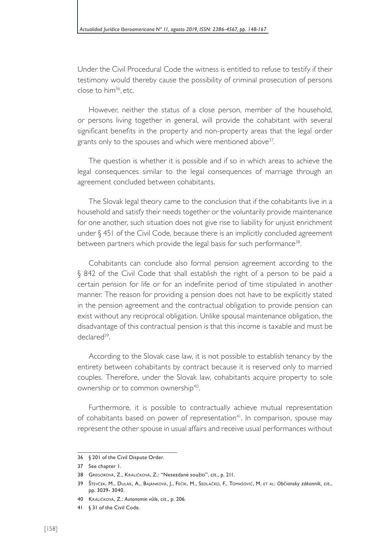Under the Civil Procedural Code the witness is entitled to refuse to testify if their testimony would thereby cause the possibility of criminal prosecution of persons close to him<sup>36</sup>, etc.

However, neither the status of a close person, member of the household, or persons living together in general, will provide the cohabitant with several significant benefits in the property and non-property areas that the legal order grants only to the spouses and which were mentioned above<sup>37</sup>.

The question is whether it is possible and if so in which areas to achieve the legal consequences similar to the legal consequences of marriage through an agreement concluded between cohabitants.

The Slovak legal theory came to the conclusion that if the cohabitants live in a household and satisfy their needs together or the voluntarily provide maintenance for one another, such situation does not give rise to liability for unjust enrichment under  $§$  451 of the Civil Code, because there is an implicitly concluded agreement between partners which provide the legal basis for such performance<sup>38</sup>.

Cohabitants can conclude also formal pension agreement according to the § 842 of the Civil Code that shall establish the right of a person to be paid a certain pension for life or for an indefinite period of time stipulated in another manner. The reason for providing a pension does not have to be explicitly stated in the pension agreement and the contractual obligation to provide pension can exist without any reciprocal obligation. Unlike spousal maintenance obligation, the disadvantage of this contractual pension is that this income is taxable and must be declared<sup>39</sup>

According to the Slovak case law, it is not possible to establish tenancy by the entirety between cohabitants by contract because it is reserved only to married couples. Therefore, under the Slovak law, cohabitants acquire property to sole ownership or to common ownership<sup>40</sup>.

Furthermore, it is possible to contractually achieve mutual representation of cohabitants based on power of representation<sup>41</sup>. In comparison, spouse may represent the other spouse in usual affairs and receive usual performances without

<sup>36</sup> § 201 of the Civil Dispute Order.

<sup>37</sup> See chapter 1.

<sup>38</sup> Gregorová, Z., Králičková, Z.: "Nesezdané soužití", cit., p. 211.

<sup>39</sup> Števček, M., Dulák, A., Bajánková, J., Fečík, M., Sedlačko, F., Tomašovič, M. et al: *Občiansky zákonník,* cit., pp. 3039- 3040.

<sup>40</sup> Králičková, Z.: *Autonomie vůle,* cit., p. 206.

<sup>41</sup> § 31 of the Civil Code.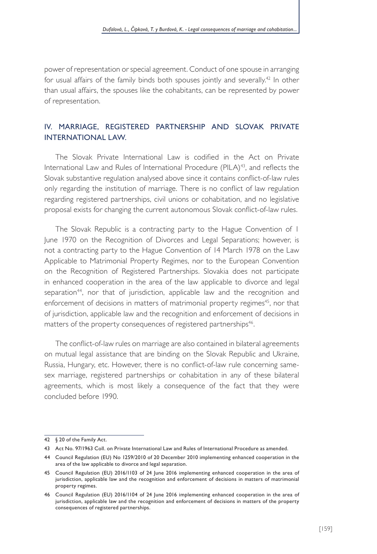power of representation or special agreement. Conduct of one spouse in arranging for usual affairs of the family binds both spouses jointly and severally.<sup>42</sup> In other than usual affairs, the spouses like the cohabitants, can be represented by power of representation.

## IV. MARRIAGE, REGISTERED PARTNERSHIP AND SLOVAK PRIVATE INTERNATIONAL LAW.

The Slovak Private International Law is codified in the Act on Private International Law and Rules of International Procedure (PILA)<sup>43</sup>, and reflects the Slovak substantive regulation analysed above since it contains conflict-of-law rules only regarding the institution of marriage. There is no conflict of law regulation regarding registered partnerships, civil unions or cohabitation, and no legislative proposal exists for changing the current autonomous Slovak conflict-of-law rules.

The Slovak Republic is a contracting party to the Hague Convention of 1 June 1970 on the Recognition of Divorces and Legal Separations; however, is not a contracting party to the Hague Convention of 14 March 1978 on the Law Applicable to Matrimonial Property Regimes, nor to the European Convention on the Recognition of Registered Partnerships. Slovakia does not participate in enhanced cooperation in the area of the law applicable to divorce and legal separation<sup>44</sup>, nor that of jurisdiction, applicable law and the recognition and enforcement of decisions in matters of matrimonial property regimes<sup>45</sup>, nor that of jurisdiction, applicable law and the recognition and enforcement of decisions in matters of the property consequences of registered partnerships<sup>46</sup>.

The conflict-of-law rules on marriage are also contained in bilateral agreements on mutual legal assistance that are binding on the Slovak Republic and Ukraine, Russia, Hungary, etc. However, there is no conflict-of-law rule concerning samesex marriage, registered partnerships or cohabitation in any of these bilateral agreements, which is most likely a consequence of the fact that they were concluded before 1990.

<sup>42</sup> § 20 of the Family Act.

<sup>43</sup> Act No. 97/1963 Coll. on Private International Law and Rules of International Procedure as amended.

<sup>44</sup> Council Regulation (EU) No 1259/2010 of 20 December 2010 implementing enhanced cooperation in the area of the law applicable to divorce and legal separation.

<sup>45</sup> Council Regulation (EU) 2016/1103 of 24 June 2016 implementing enhanced cooperation in the area of jurisdiction, applicable law and the recognition and enforcement of decisions in matters of matrimonial property regimes.

<sup>46</sup> Council Regulation (EU) 2016/1104 of 24 June 2016 implementing enhanced cooperation in the area of jurisdiction, applicable law and the recognition and enforcement of decisions in matters of the property consequences of registered partnerships.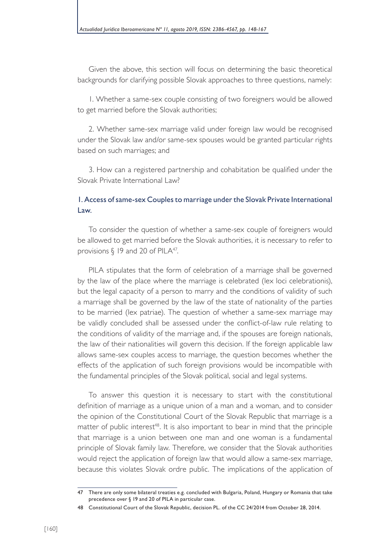Given the above, this section will focus on determining the basic theoretical backgrounds for clarifying possible Slovak approaches to three questions, namely:

1. Whether a same-sex couple consisting of two foreigners would be allowed to get married before the Slovak authorities;

2. Whether same-sex marriage valid under foreign law would be recognised under the Slovak law and/or same-sex spouses would be granted particular rights based on such marriages; and

3. How can a registered partnership and cohabitation be qualified under the Slovak Private International Law?

## 1. Access of same-sex Couples to marriage under the Slovak Private International Law.

To consider the question of whether a same-sex couple of foreigners would be allowed to get married before the Slovak authorities, it is necessary to refer to provisions  $\S$  19 and 20 of PILA<sup>47</sup>.

PILA stipulates that the form of celebration of a marriage shall be governed by the law of the place where the marriage is celebrated (lex loci celebrationis), but the legal capacity of a person to marry and the conditions of validity of such a marriage shall be governed by the law of the state of nationality of the parties to be married (lex patriae). The question of whether a same-sex marriage may be validly concluded shall be assessed under the conflict-of-law rule relating to the conditions of validity of the marriage and, if the spouses are foreign nationals, the law of their nationalities will govern this decision. If the foreign applicable law allows same-sex couples access to marriage, the question becomes whether the effects of the application of such foreign provisions would be incompatible with the fundamental principles of the Slovak political, social and legal systems.

To answer this question it is necessary to start with the constitutional definition of marriage as a unique union of a man and a woman, and to consider the opinion of the Constitutional Court of the Slovak Republic that marriage is a matter of public interest<sup>48</sup>. It is also important to bear in mind that the principle that marriage is a union between one man and one woman is a fundamental principle of Slovak family law. Therefore, we consider that the Slovak authorities would reject the application of foreign law that would allow a same-sex marriage, because this violates Slovak ordre public. The implications of the application of

<sup>47</sup> There are only some bilateral treaties e.g. concluded with Bulgaria, Poland, Hungary or Romania that take precedence over § 19 and 20 of PILA in particular case.

<sup>48</sup> Constitutional Court of the Slovak Republic, decision PL. of the CC 24/2014 from October 28, 2014.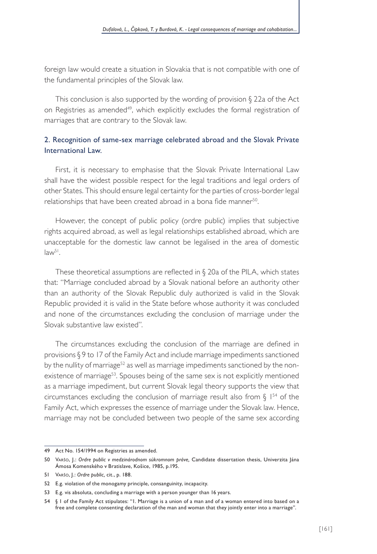foreign law would create a situation in Slovakia that is not compatible with one of the fundamental principles of the Slovak law.

This conclusion is also supported by the wording of provision § 22a of the Act on Registries as amended<sup>49</sup>, which explicitly excludes the formal registration of marriages that are contrary to the Slovak law.

## 2. Recognition of same-sex marriage celebrated abroad and the Slovak Private International Law.

First, it is necessary to emphasise that the Slovak Private International Law shall have the widest possible respect for the legal traditions and legal orders of other States. This should ensure legal certainty for the parties of cross-border legal relationships that have been created abroad in a bona fide manner<sup>50</sup>.

However, the concept of public policy (ordre public) implies that subjective rights acquired abroad, as well as legal relationships established abroad, which are unacceptable for the domestic law cannot be legalised in the area of domestic  $law<sup>51</sup>$ .

These theoretical assumptions are reflected in § 20a of the PILA, which states that: "Marriage concluded abroad by a Slovak national before an authority other than an authority of the Slovak Republic duly authorized is valid in the Slovak Republic provided it is valid in the State before whose authority it was concluded and none of the circumstances excluding the conclusion of marriage under the Slovak substantive law existed".

The circumstances excluding the conclusion of the marriage are defined in provisions § 9 to 17 of the Family Act and include marriage impediments sanctioned by the nullity of marriage<sup>52</sup> as well as marriage impediments sanctioned by the nonexistence of marriage<sup>53</sup>. Spouses being of the same sex is not explicitly mentioned as a marriage impediment, but current Slovak legal theory supports the view that circumstances excluding the conclusion of marriage result also from  $\S$  1<sup>54</sup> of the Family Act, which expresses the essence of marriage under the Slovak law. Hence, marriage may not be concluded between two people of the same sex according

<sup>49</sup> Act No. 154/1994 on Registries as amended.

<sup>50</sup> Varšo, J.: *Ordre public v medzinárodnom súkromnom práve,* Candidate dissertation thesis, Univerzita Jána Ámosa Komenského v Bratislave, Košice, 1985, p.195.

<sup>51</sup> Varšo, J.: *Ordre public,* cit., p. 188.

<sup>52</sup> E.g. violation of the monogamy principle, consanguinity, incapacity.

<sup>53</sup> E.g. vis absoluta, concluding a marriage with a person younger than 16 years.

<sup>54</sup> § 1 of the Family Act stipulates: "1. Marriage is a union of a man and of a woman entered into based on a free and complete consenting declaration of the man and woman that they jointly enter into a marriage".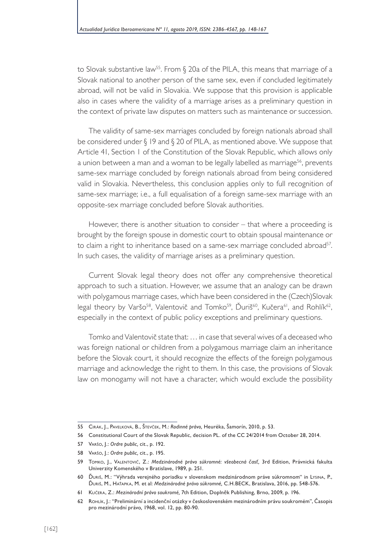to Slovak substantive law<sup>55</sup>. From § 20a of the PILA, this means that marriage of a Slovak national to another person of the same sex, even if concluded legitimately abroad, will not be valid in Slovakia. We suppose that this provision is applicable also in cases where the validity of a marriage arises as a preliminary question in the context of private law disputes on matters such as maintenance or succession.

The validity of same-sex marriages concluded by foreign nationals abroad shall be considered under § 19 and § 20 of PILA, as mentioned above. We suppose that Article 41, Section 1 of the Constitution of the Slovak Republic, which allows only a union between a man and a woman to be legally labelled as marriage<sup>56</sup>, prevents same-sex marriage concluded by foreign nationals abroad from being considered valid in Slovakia. Nevertheless, this conclusion applies only to full recognition of same-sex marriage; i.e., a full equalisation of a foreign same-sex marriage with an opposite-sex marriage concluded before Slovak authorities.

However, there is another situation to consider – that where a proceeding is brought by the foreign spouse in domestic court to obtain spousal maintenance or to claim a right to inheritance based on a same-sex marriage concluded abroad<sup>57</sup>. In such cases, the validity of marriage arises as a preliminary question.

Current Slovak legal theory does not offer any comprehensive theoretical approach to such a situation. However, we assume that an analogy can be drawn with polygamous marriage cases, which have been considered in the (Czech)Slovak legal theory by Varšo<sup>58</sup>, Valentovič and Tomko<sup>59</sup>, Ďuriš<sup>60</sup>, Kučera<sup>61</sup>, and Rohlík<sup>62</sup>, especially in the context of public policy exceptions and preliminary questions.

Tomko and Valentovič state that: … in case that several wives of a deceased who was foreign national or children from a polygamous marriage claim an inheritance before the Slovak court, it should recognize the effects of the foreign polygamous marriage and acknowledge the right to them. In this case, the provisions of Slovak law on monogamy will not have a character, which would exclude the possibility

<sup>55</sup> Cirák, J., Pavelková, B., Števček, M.: *Rodinné právo,* Heuréka, Šamorín, 2010, p. 53.

<sup>56</sup> Constitutional Court of the Slovak Republic, decision PL. of the CC 24/2014 from October 28, 2014.

<sup>57</sup> Varšo, J.: *Ordre public,* cit., p. 192.

<sup>58</sup> Varšo, J.: *Ordre public,* cit., p. 195.

<sup>59</sup> Tomko, J., Valentovič, Z.: *Medzinárodné právo súkromné: všeobecná časť,* 3rd Edition, Právnická fakulta Univerzity Komenského v Bratislave, 1989, p. 251.

<sup>60</sup> Ďuriš, M.: "Výhrada verejného poriadku v slovenskom medzinárodnom práve súkromnom" in Lysina, P., Ďuriš, M., Haťapka, M. et al: *Medzinárodné právo súkromné,* C.H.BECK, Bratislava, 2016, pp. 548-576.

<sup>61</sup> Kučera, Z.: *Mezinárodní právo soukromé,* 7th Edition, Doplněk Publishing, Brno, 2009, p. 196.

<sup>62</sup> Rohlík, J.: "Preliminární a incidenční otázky v československém mezinárodním právu soukromém", Časopis pro mezinárodní právo*,* 1968, vol. 12, pp. 80-90.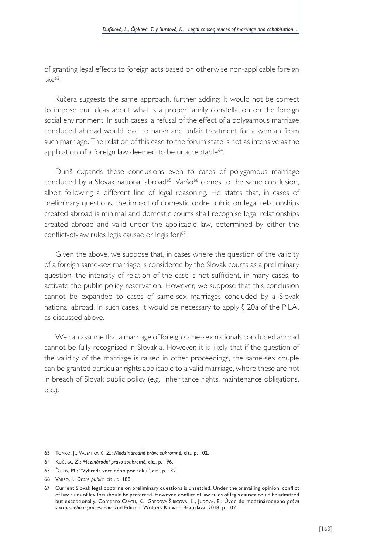of granting legal effects to foreign acts based on otherwise non-applicable foreign  $law<sup>63</sup>$ .

Kučera suggests the same approach, further adding: It would not be correct to impose our ideas about what is a proper family constellation on the foreign social environment. In such cases, a refusal of the effect of a polygamous marriage concluded abroad would lead to harsh and unfair treatment for a woman from such marriage. The relation of this case to the forum state is not as intensive as the application of a foreign law deemed to be unacceptable<sup>64</sup>.

Ďuriš expands these conclusions even to cases of polygamous marriage concluded by a Slovak national abroad<sup>65</sup>. Varšo<sup>66</sup> comes to the same conclusion, albeit following a different line of legal reasoning. He states that, in cases of preliminary questions, the impact of domestic ordre public on legal relationships created abroad is minimal and domestic courts shall recognise legal relationships created abroad and valid under the applicable law, determined by either the conflict-of-law rules legis causae or legis fori67.

Given the above, we suppose that, in cases where the question of the validity of a foreign same-sex marriage is considered by the Slovak courts as a preliminary question, the intensity of relation of the case is not sufficient, in many cases, to activate the public policy reservation. However, we suppose that this conclusion cannot be expanded to cases of same-sex marriages concluded by a Slovak national abroad. In such cases, it would be necessary to apply § 20a of the PILA, as discussed above.

We can assume that a marriage of foreign same-sex nationals concluded abroad cannot be fully recognised in Slovakia. However, it is likely that if the question of the validity of the marriage is raised in other proceedings, the same-sex couple can be granted particular rights applicable to a valid marriage, where these are not in breach of Slovak public policy (e.g., inheritance rights, maintenance obligations, etc.).

<sup>63</sup> Tomko, J., Valentovič, Z.: *Medzinárodné právo súkromné,* cit., p. 102.

<sup>64</sup> Kučera, Z.: *Mezinárodní právo soukromé,* cit., p. 196.

<sup>65</sup> Ďuriš, M.: "Výhrada verejného poriadku", cit., p. 132.

<sup>66</sup> Varšo, J.: *Ordre public,* cit., p. 188.

<sup>67</sup> Current Slovak legal doctrine on preliminary questions is unsettled. Under the prevailing opinion, conflict of law rules of lex fori should be preferred. However, conflict of law rules of legis causea could be admitted but exceptionally. Compare Csach, K., Gregová Širicová, Ľ., Júdová, E.: Úvod do medzinárodného *práva súkromného a procesného,* 2nd Edition*,* Wolters Kluwer, Bratislava, 2018, p. 102.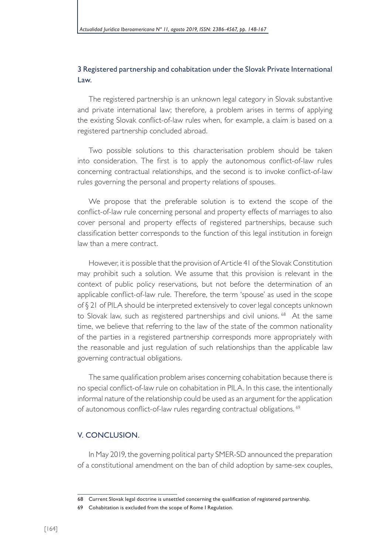### 3 Registered partnership and cohabitation under the Slovak Private International Law.

The registered partnership is an unknown legal category in Slovak substantive and private international law; therefore, a problem arises in terms of applying the existing Slovak conflict-of-law rules when, for example, a claim is based on a registered partnership concluded abroad.

Two possible solutions to this characterisation problem should be taken into consideration. The first is to apply the autonomous conflict-of-law rules concerning contractual relationships, and the second is to invoke conflict-of-law rules governing the personal and property relations of spouses.

We propose that the preferable solution is to extend the scope of the conflict-of-law rule concerning personal and property effects of marriages to also cover personal and property effects of registered partnerships, because such classification better corresponds to the function of this legal institution in foreign law than a mere contract.

However, it is possible that the provision of Article 41 of the Slovak Constitution may prohibit such a solution. We assume that this provision is relevant in the context of public policy reservations, but not before the determination of an applicable conflict-of-law rule. Therefore, the term 'spouse' as used in the scope of § 21 of PILA should be interpreted extensively to cover legal concepts unknown to Slovak law, such as registered partnerships and civil unions. <sup>68</sup> At the same time, we believe that referring to the law of the state of the common nationality of the parties in a registered partnership corresponds more appropriately with the reasonable and just regulation of such relationships than the applicable law governing contractual obligations.

The same qualification problem arises concerning cohabitation because there is no special conflict-of-law rule on cohabitation in PILA. In this case, the intentionally informal nature of the relationship could be used as an argument for the application of autonomous conflict-of-law rules regarding contractual obligations.<sup>69</sup>

#### V. CONCLUSION.

In May 2019, the governing political party SMER-SD announced the preparation of a constitutional amendment on the ban of child adoption by same-sex couples,

<sup>68</sup> Current Slovak legal doctrine is unsettled concerning the qualification of registered partnership.

<sup>69</sup> Cohabitation is excluded from the scope of Rome I Regulation.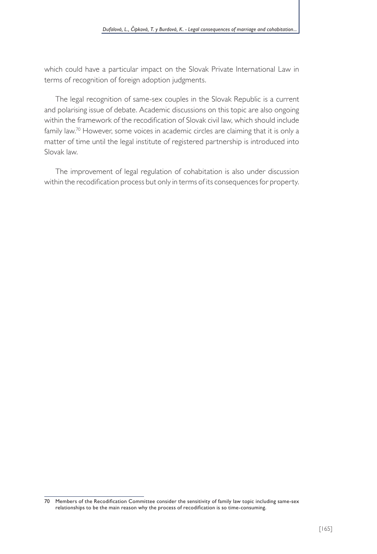which could have a particular impact on the Slovak Private International Law in terms of recognition of foreign adoption judgments.

The legal recognition of same-sex couples in the Slovak Republic is a current and polarising issue of debate. Academic discussions on this topic are also ongoing within the framework of the recodification of Slovak civil law, which should include family law.<sup>70</sup> However, some voices in academic circles are claiming that it is only a matter of time until the legal institute of registered partnership is introduced into Slovak law.

The improvement of legal regulation of cohabitation is also under discussion within the recodification process but only in terms of its consequences for property.

<sup>70</sup> Members of the Recodification Committee consider the sensitivity of family law topic including same-sex relationships to be the main reason why the process of recodification is so time-consuming.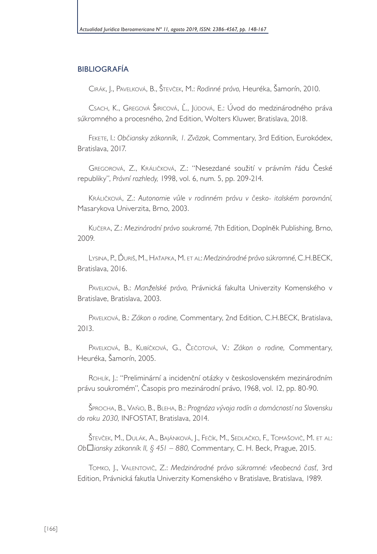### BIBLIOGRAFÍA

Cirák, J., Pavelková, B., Števček, M.: *Rodinné právo,* Heuréka, Šamorín, 2010.

Csach, K., Gregová Širicová, Ľ., Júdová, E.: Úvod do medzinárodného práva súkromného a procesného, 2nd Edition, Wolters Kluwer, Bratislava, 2018.

Fekete, I.: *Občiansky zákonník, 1. Zväzok,* Commentary, 3rd Edition, Eurokódex, Bratislava, 2017.

Gregorová, Z., Králičková, Z.: "Nesezdané soužití v právním řádu České republiky", *Právní rozhledy,* 1998, vol. 6, num. 5, pp. 209-214.

Králičková, Z.: *Autonomie vůle v rodinném právu v česko- italském porovnání,* Masarykova Univerzita, Brno, 2003.

Kučera, Z.: *Mezinárodní právo soukromé,* 7th Edition, Doplněk Publishing, Brno, 2009.

Lysina, P., Ďuriš, M., Haťapka, M. et al: *Medzinárodné právo súkromné*, C.H.BECK, Bratislava, 2016.

Pavelková, B.: *Manželské právo,* Právnická fakulta Univerzity Komenského v Bratislave, Bratislava, 2003.

Pavelková, B.: *Zákon o rodine,* Commentary, 2nd Edition, C.H.BECK, Bratislava, 2013.

Pavelková, B., Kubíčková, G., Čečotová, V.: *Zákon o rodine,* Commentary, Heuréka, Šamorín, 2005.

Rohlík, J.: "Preliminární a incidenční otázky v československém mezinárodním právu soukromém", Časopis pro mezinárodní právo, 1968, vol. 12, pp. 80-90.

Šprocha, B., Vaňo, B., Bleha, B.: *Prognóza vývoja rodín a domácností na Slovensku do roku 2030,* INFOSTAT, Bratislava, 2014.

Števček, M., Dulák, A., Bajánková, J., Fečík, M., Sedlačko, F., Tomašovič, M. et al: *Občiansky zákonník II, § 451 – 880,* Commentary, C. H. Beck, Prague, 2015.

Tomko, J., Valentovič, Z.: *Medzinárodné právo súkromné: všeobecná časť,* 3rd Edition, Právnická fakutla Univerzity Komenského v Bratislave, Bratislava, 1989.